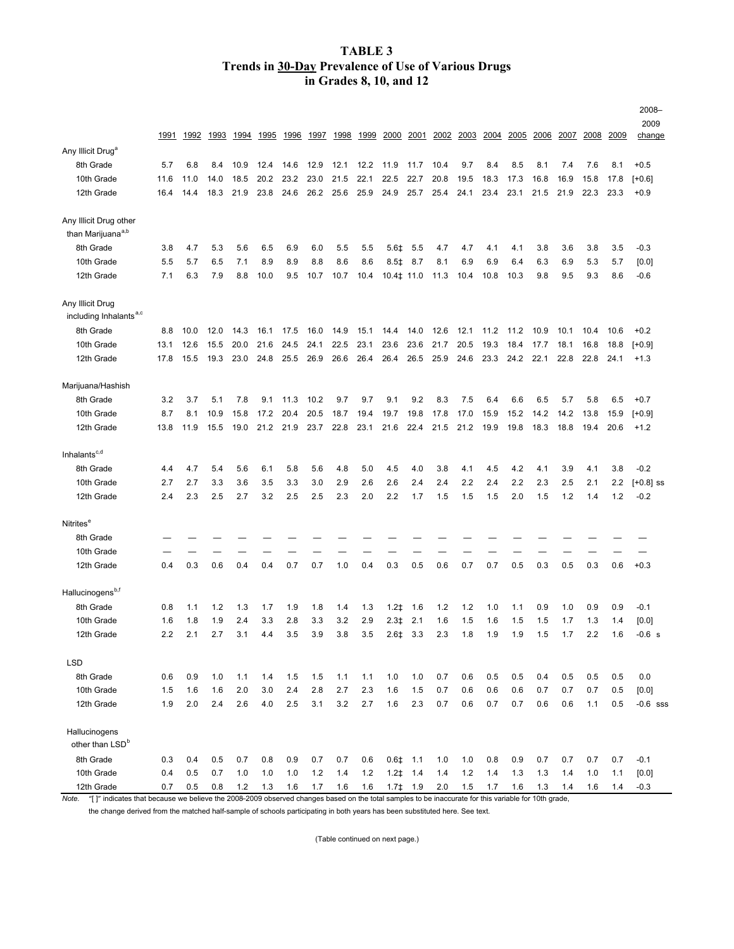## **TABLE 3 Trends in 30-Day Prevalence of Use of Various Drugs in Grades 8, 10, and 12**

|                                                         |      |      |      |      |      |      |      |      |      |                                        |                    |      |      |      |      |      |      |      |            | 2008-<br>2009         |
|---------------------------------------------------------|------|------|------|------|------|------|------|------|------|----------------------------------------|--------------------|------|------|------|------|------|------|------|------------|-----------------------|
|                                                         | 1991 | 1992 | 1993 | 1994 | 1995 | 1996 | 1997 | 1998 | 1999 | 2000                                   | <u>2001</u>        | 2002 | 2003 | 2004 | 2005 | 2006 | 2007 | 2008 | 2009       | change                |
| Any Illicit Drug <sup>a</sup>                           |      |      |      |      |      |      |      |      |      |                                        |                    |      |      |      |      |      |      |      |            |                       |
| 8th Grade                                               | 5.7  | 6.8  | 8.4  | 10.9 | 12.4 | 14.6 | 12.9 | 12.1 | 12.2 | 11.9                                   | 11.7               | 10.4 | 9.7  | 8.4  | 8.5  | 8.1  | 7.4  | 7.6  | 8.1        | $+0.5$                |
| 10th Grade                                              | 11.6 | 11.0 | 14.0 | 18.5 | 20.2 | 23.2 | 23.0 | 21.5 | 22.1 | 22.5                                   | 22.7               | 20.8 | 19.5 | 18.3 | 17.3 | 16.8 | 16.9 | 15.8 | 17.8       | $[+0.6]$              |
| 12th Grade                                              | 16.4 | 14.4 | 18.3 | 21.9 | 23.8 | 24.6 | 26.2 | 25.6 | 25.9 | 24.9                                   | 25.7               | 25.4 | 24.1 | 23.4 | 23.1 | 21.5 | 21.9 | 22.3 | 23.3       | $+0.9$                |
| Any Illicit Drug other<br>than Marijuana <sup>a,b</sup> |      |      |      |      |      |      |      |      |      |                                        |                    |      |      |      |      |      |      |      |            |                       |
| 8th Grade                                               | 3.8  | 4.7  | 5.3  | 5.6  | 6.5  | 6.9  | 6.0  | 5.5  | 5.5  | 5.6‡                                   | 5.5                | 4.7  | 4.7  | 4.1  | 4.1  | 3.8  | 3.6  | 3.8  | 3.5        | $-0.3$                |
| 10th Grade                                              | 5.5  | 5.7  | 6.5  | 7.1  | 8.9  | 8.9  | 8.8  | 8.6  | 8.6  | $8.5$ <sup><math>\ddagger</math></sup> | 8.7                | 8.1  | 6.9  | 6.9  | 6.4  | 6.3  | 6.9  | 5.3  | 5.7        | [0.0]                 |
| 12th Grade                                              | 7.1  | 6.3  | 7.9  | 8.8  | 10.0 | 9.5  | 10.7 | 10.7 | 10.4 | 10.4‡ 11.0                             |                    | 11.3 | 10.4 | 10.8 | 10.3 | 9.8  | 9.5  | 9.3  | 8.6        | $-0.6$                |
| Any Illicit Drug<br>including Inhalants <sup>a,c</sup>  |      |      |      |      |      |      |      |      |      |                                        |                    |      |      |      |      |      |      |      |            |                       |
| 8th Grade                                               | 8.8  | 10.0 | 12.0 | 14.3 | 16.1 | 17.5 | 16.0 | 14.9 | 15.1 | 14.4                                   | 14.0               | 12.6 | 12.1 | 11.2 | 11.2 | 10.9 | 10.1 | 10.4 | 10.6       | $+0.2$                |
| 10th Grade                                              | 13.1 | 12.6 | 15.5 | 20.0 | 21.6 | 24.5 | 24.1 | 22.5 | 23.1 | 23.6                                   | 23.6               | 21.7 | 20.5 | 19.3 | 18.4 | 17.7 | 18.1 | 16.8 | 18.8       | $[+0.9]$              |
| 12th Grade                                              | 17.8 | 15.5 | 19.3 | 23.0 | 24.8 | 25.5 | 26.9 | 26.6 | 26.4 | 26.4                                   | 26.5               | 25.9 | 24.6 | 23.3 | 24.2 | 22.1 | 22.8 | 22.8 | 24.1       | $+1.3$                |
| Marijuana/Hashish                                       |      |      |      |      |      |      |      |      |      |                                        |                    |      |      |      |      |      |      |      |            |                       |
| 8th Grade                                               | 3.2  | 3.7  | 5.1  | 7.8  | 9.1  | 11.3 | 10.2 | 9.7  | 9.7  | 9.1                                    | 9.2                | 8.3  | 7.5  | 6.4  | 6.6  | 6.5  | 5.7  | 5.8  | 6.5        | $+0.7$                |
| 10th Grade                                              | 8.7  | 8.1  | 10.9 | 15.8 | 17.2 | 20.4 | 20.5 | 18.7 | 19.4 | 19.7                                   | 19.8               | 17.8 | 17.0 | 15.9 | 15.2 | 14.2 | 14.2 | 13.8 | 15.9       | $[+0.9]$              |
| 12th Grade                                              | 13.8 | 11.9 | 15.5 | 19.0 | 21.2 | 21.9 | 23.7 | 22.8 | 23.1 | 21.6                                   | 22.4               | 21.5 | 21.2 | 19.9 | 19.8 | 18.3 | 18.8 | 19.4 | 20.6       | $+1.2$                |
| Inhalants $c,d$                                         |      |      |      |      |      |      |      |      |      |                                        |                    |      |      |      |      |      |      |      |            |                       |
| 8th Grade                                               | 4.4  | 4.7  | 5.4  | 5.6  | 6.1  | 5.8  | 5.6  | 4.8  | 5.0  | 4.5                                    | 4.0                | 3.8  | 4.1  | 4.5  | 4.2  | 4.1  | 3.9  | 4.1  | 3.8        | $-0.2$                |
| 10th Grade                                              | 2.7  | 2.7  | 3.3  | 3.6  | 3.5  | 3.3  | 3.0  | 2.9  | 2.6  |                                        | 2.4                | 2.4  | 2.2  | 2.4  | 2.2  | 2.3  | 2.5  | 2.1  |            |                       |
| 12th Grade                                              | 2.4  | 2.3  | 2.5  | 2.7  | 3.2  | 2.5  | 2.5  | 2.3  | 2.0  | 2.6<br>2.2                             | 1.7                | 1.5  | 1.5  | 1.5  | 2.0  | 1.5  | 1.2  | 1.4  | 2.2<br>1.2 | $[-0.8]$ ss<br>$-0.2$ |
|                                                         |      |      |      |      |      |      |      |      |      |                                        |                    |      |      |      |      |      |      |      |            |                       |
| Nitrites <sup>e</sup>                                   |      |      |      |      |      |      |      |      |      |                                        |                    |      |      |      |      |      |      |      |            |                       |
| 8th Grade                                               |      |      |      |      |      |      |      |      |      |                                        |                    |      |      |      |      |      |      |      |            |                       |
| 10th Grade                                              |      |      |      |      |      |      |      |      |      |                                        |                    |      |      |      |      |      |      |      |            |                       |
| 12th Grade                                              | 0.4  | 0.3  | 0.6  | 0.4  | 0.4  | 0.7  | 0.7  | 1.0  | 0.4  | 0.3                                    | 0.5                | 0.6  | 0.7  | 0.7  | 0.5  | 0.3  | 0.5  | 0.3  | 0.6        | $+0.3$                |
| Hallucinogens <sup>b,t</sup>                            |      |      |      |      |      |      |      |      |      |                                        |                    |      |      |      |      |      |      |      |            |                       |
| 8th Grade                                               | 0.8  | 1.1  | 1.2  | 1.3  | 1.7  | 1.9  | 1.8  | 1.4  | 1.3  | $1.2\pm$                               | 1.6                | 1.2  | 1.2  | 1.0  | 1.1  | 0.9  | 1.0  | 0.9  | 0.9        | $-0.1$                |
| 10th Grade                                              | 1.6  | 1.8  | 1.9  | 2.4  | 3.3  | 2.8  | 3.3  | 3.2  | 2.9  | $2.3+$                                 | 2.1                | 1.6  | 1.5  | 1.6  | 1.5  | 1.5  | 1.7  | 1.3  | 1.4        | [0.0]                 |
| 12th Grade                                              | 2.2  | 2.1  | 2.7  | 3.1  | 4.4  | 3.5  | 3.9  | 3.8  | 3.5  | 2.6‡                                   | 3.3                | 2.3  | 1.8  | 1.9  | 1.9  | 1.5  | 1.7  | 2.2  | 1.6        | $-0.6 s$              |
| <b>LSD</b>                                              |      |      |      |      |      |      |      |      |      |                                        |                    |      |      |      |      |      |      |      |            |                       |
| 8th Grade                                               | 0.6  | 0.9  | 1.0  | 1.1  | 1.4  | 1.5  | 1.5  | 1.1  | 1.1  | 1.0                                    | 1.0                | 0.7  | 0.6  | 0.5  | 0.5  | 0.4  | 0.5  | 0.5  | 0.5        | 0.0                   |
| 10th Grade                                              | 1.5  | 1.6  | 1.6  | 2.0  | 3.0  | 2.4  | 2.8  | 2.7  | 2.3  | 1.6                                    | 1.5                | 0.7  | 0.6  | 0.6  | 0.6  | 0.7  | 0.7  | 0.7  | 0.5        | $[0.0]$               |
| 12th Grade                                              | 1.9  | 2.0  | 2.4  | 2.6  | 4.0  | 2.5  | 3.1  | 3.2  | 2.7  | 1.6                                    | 2.3                | 0.7  | 0.6  | 0.7  | 0.7  | 0.6  | 0.6  | 1.1  | 0.5        | $-0.6$ sss            |
| Hallucinogens<br>other than LSD <sup>b</sup>            |      |      |      |      |      |      |      |      |      |                                        |                    |      |      |      |      |      |      |      |            |                       |
| 8th Grade                                               | 0.3  | 0.4  | 0.5  | 0.7  | 0.8  | 0.9  | 0.7  | 0.7  | 0.6  |                                        | $0.6$ $\sharp$ 1.1 | 1.0  | 1.0  | 0.8  | 0.9  | 0.7  | 0.7  | 0.7  | 0.7        | $-0.1$                |
| 10th Grade                                              | 0.4  | 0.5  | 0.7  | 1.0  | 1.0  | 1.0  | 1.2  | 1.4  | 1.2  | $1.2+$                                 | 1.4                | 1.4  | 1.2  | 1.4  | 1.3  | 1.3  | 1.4  | 1.0  | 1.1        | [0.0]                 |
| 12th Grade                                              | 0.7  | 0.5  | 0.8  | 1.2  | 1.3  | 1.6  | 1.7  | 1.6  | 1.6  |                                        | $1.71 + 1.9$       | 2.0  | 1.5  | 1.7  | 1.6  | 1.3  | 1.4  | 1.6  | 1.4        | $-0.3$                |

*Note.* "[ ]" indicates that because we believe the 2008–2009 observed changes based on the total samples to be inaccurate for this variable for 10th grade,

the change derived from the matched half-sample of schools participating in both years has been substituted here. See text.

(Table continued on next page.)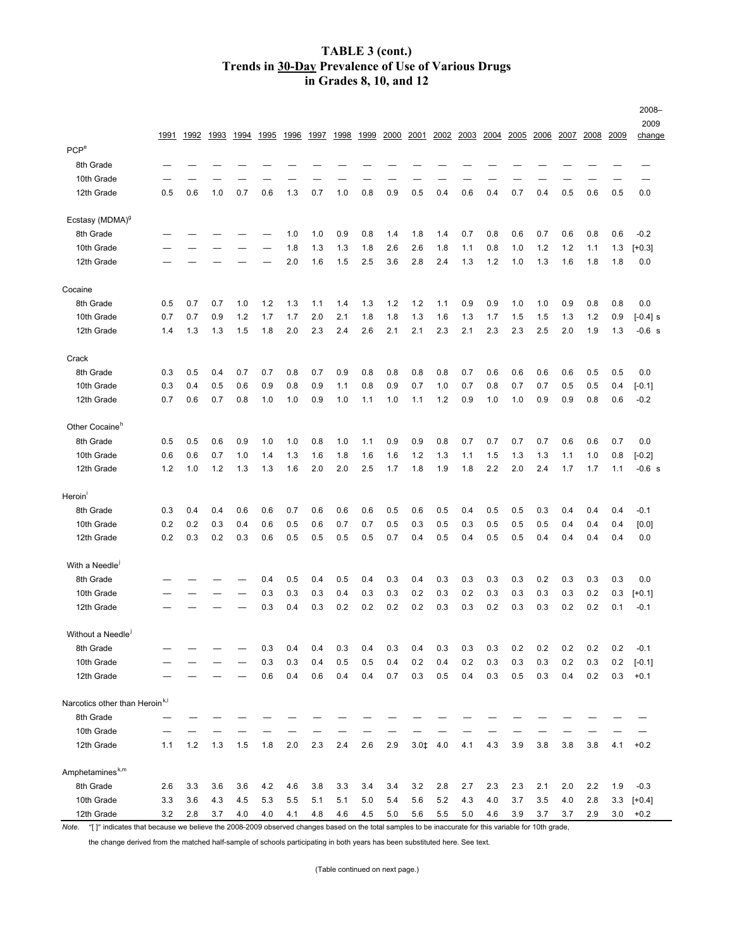## **in Grades 8, 10, and 12 TABLE 3 (cont.) Trends in 30-Day Prevalence of Use of Various Drugs**

|                                                                                                                                                           |      |      |      |      |       |         |      |      |      |      |      |               |      |      |      |      |      |      |      | 2008-<br>2009 |
|-----------------------------------------------------------------------------------------------------------------------------------------------------------|------|------|------|------|-------|---------|------|------|------|------|------|---------------|------|------|------|------|------|------|------|---------------|
|                                                                                                                                                           | 1991 | 1992 | 1993 | 1994 | 1995  | 1996    | 1997 | 1998 | 1999 | 2000 | 2001 | 2002          | 2003 | 2004 | 2005 | 2006 | 2007 | 2008 | 2009 | change        |
| PCP <sup>e</sup>                                                                                                                                          |      |      |      |      |       |         |      |      |      |      |      |               |      |      |      |      |      |      |      |               |
| 8th Grade                                                                                                                                                 |      |      |      |      |       |         |      |      |      |      |      |               |      |      |      |      |      |      |      |               |
| 10th Grade                                                                                                                                                |      |      |      |      |       |         |      |      |      |      |      |               |      |      |      |      |      |      |      |               |
| 12th Grade                                                                                                                                                | 0.5  | 0.6  | 1.0  | 0.7  | 0.6   | 1.3     | 0.7  | 1.0  | 0.8  | 0.9  | 0.5  | 0.4           | 0.6  | 0.4  | 0.7  | 0.4  | 0.5  | 0.6  | 0.5  | 0.0           |
| Ecstasy (MDMA) <sup>9</sup>                                                                                                                               |      |      |      |      |       |         |      |      |      |      |      |               |      |      |      |      |      |      |      |               |
| 8th Grade                                                                                                                                                 |      |      |      |      |       | 1.0     | 1.0  | 0.9  | 0.8  | 1.4  | 1.8  | 1.4           | 0.7  | 0.8  | 0.6  | 0.7  | 0.6  | 0.8  | 0.6  | $-0.2$        |
| 10th Grade                                                                                                                                                |      |      |      |      |       | 1.8     | 1.3  | 1.3  | 1.8  | 2.6  | 2.6  | 1.8           | 1.1  | 0.8  | 1.0  | 1.2  | 1.2  | 1.1  | 1.3  | $[+0.3]$      |
| 12th Grade                                                                                                                                                |      |      |      |      |       | 2.0     | 1.6  | 1.5  | 2.5  | 3.6  | 2.8  | 2.4           | 1.3  | 1.2  | 1.0  | 1.3  | 1.6  | 1.8  | 1.8  | 0.0           |
| Cocaine                                                                                                                                                   |      |      |      |      |       |         |      |      |      |      |      |               |      |      |      |      |      |      |      |               |
| 8th Grade                                                                                                                                                 | 0.5  | 0.7  | 0.7  | 1.0  | $1.2$ | 1.3     | 1.1  | 1.4  | 1.3  | 1.2  | 1.2  | 1.1           | 0.9  | 0.9  | 1.0  | 1.0  | 0.9  | 0.8  | 0.8  | 0.0           |
| 10th Grade                                                                                                                                                | 0.7  | 0.7  | 0.9  | 1.2  | 1.7   | 1.7     | 2.0  | 2.1  | 1.8  | 1.8  | 1.3  | 1.6           | 1.3  | 1.7  | 1.5  | 1.5  | 1.3  | 1.2  | 0.9  | $[-0.4]$ s    |
| 12th Grade                                                                                                                                                | 1.4  | 1.3  | 1.3  | 1.5  | 1.8   | 2.0     | 2.3  | 2.4  | 2.6  | 2.1  | 2.1  | 2.3           | 2.1  | 2.3  | 2.3  | 2.5  | 2.0  | 1.9  | 1.3  | $-0.6$ s      |
|                                                                                                                                                           |      |      |      |      |       |         |      |      |      |      |      |               |      |      |      |      |      |      |      |               |
| Crack                                                                                                                                                     |      |      |      |      |       |         |      |      |      |      |      |               |      |      |      |      |      |      |      |               |
| 8th Grade                                                                                                                                                 | 0.3  | 0.5  | 0.4  | 0.7  | 0.7   | 0.8     | 0.7  | 0.9  | 0.8  | 0.8  | 0.8  | 0.8           | 0.7  | 0.6  | 0.6  | 0.6  | 0.6  | 0.5  | 0.5  | 0.0           |
| 10th Grade                                                                                                                                                | 0.3  | 0.4  | 0.5  | 0.6  | 0.9   | 0.8     | 0.9  | 1.1  | 0.8  | 0.9  | 0.7  | 1.0           | 0.7  | 0.8  | 0.7  | 0.7  | 0.5  | 0.5  | 0.4  | $[-0.1]$      |
| 12th Grade                                                                                                                                                | 0.7  | 0.6  | 0.7  | 0.8  | 1.0   | 1.0     | 0.9  | 1.0  | 1.1  | 1.0  | 1.1  | 1.2           | 0.9  | 1.0  | 1.0  | 0.9  | 0.9  | 0.8  | 0.6  | $-0.2$        |
| Other Cocaine <sup>"</sup>                                                                                                                                |      |      |      |      |       |         |      |      |      |      |      |               |      |      |      |      |      |      |      |               |
| 8th Grade                                                                                                                                                 | 0.5  | 0.5  | 0.6  | 0.9  | 1.0   | 1.0     | 0.8  | 1.0  | 1.1  | 0.9  | 0.9  | 0.8           | 0.7  | 0.7  | 0.7  | 0.7  | 0.6  | 0.6  | 0.7  | 0.0           |
| 10th Grade                                                                                                                                                | 0.6  | 0.6  | 0.7  | 1.0  | 1.4   | 1.3     | 1.6  | 1.8  | 1.6  | 1.6  | 1.2  | 1.3           | 1.1  | 1.5  | 1.3  | 1.3  | 1.1  | 1.0  | 0.8  | $[-0.2]$      |
| 12th Grade                                                                                                                                                | 1.2  | 1.0  | 1.2  | 1.3  | 1.3   | 1.6     | 2.0  | 2.0  | 2.5  | 1.7  | 1.8  | 1.9           | 1.8  | 2.2  | 2.0  | 2.4  | 1.7  | 1.7  | 1.1  | $-0.6$ s      |
| Heroin <sup>'</sup>                                                                                                                                       |      |      |      |      |       |         |      |      |      |      |      |               |      |      |      |      |      |      |      |               |
| 8th Grade                                                                                                                                                 | 0.3  | 0.4  | 0.4  | 0.6  | 0.6   | 0.7     | 0.6  | 0.6  | 0.6  | 0.5  | 0.6  | 0.5           | 0.4  | 0.5  | 0.5  | 0.3  | 0.4  | 0.4  | 0.4  | $-0.1$        |
| 10th Grade                                                                                                                                                | 0.2  | 0.2  | 0.3  | 0.4  | 0.6   | 0.5     | 0.6  | 0.7  | 0.7  | 0.5  | 0.3  | 0.5           | 0.3  | 0.5  | 0.5  | 0.5  | 0.4  | 0.4  | 0.4  | [0.0]         |
| 12th Grade                                                                                                                                                | 0.2  | 0.3  | 0.2  | 0.3  | 0.6   | 0.5     | 0.5  | 0.5  | 0.5  | 0.7  | 0.4  | 0.5           | 0.4  | 0.5  | 0.5  | 0.4  | 0.4  | 0.4  | 0.4  | 0.0           |
| With a Needle                                                                                                                                             |      |      |      |      |       |         |      |      |      |      |      |               |      |      |      |      |      |      |      |               |
| 8th Grade                                                                                                                                                 |      |      |      |      | 0.4   | 0.5     | 0.4  | 0.5  | 0.4  | 0.3  | 0.4  | 0.3           | 0.3  | 0.3  | 0.3  | 0.2  | 0.3  | 0.3  | 0.3  | 0.0           |
| 10th Grade                                                                                                                                                |      |      |      |      | 0.3   | 0.3     | 0.3  | 0.4  | 0.3  | 0.3  | 0.2  | 0.3           | 0.2  | 0.3  | 0.3  | 0.3  | 0.3  | 0.2  | 0.3  | $[+0.1]$      |
| 12th Grade                                                                                                                                                |      |      |      |      | 0.3   | 0.4     | 0.3  | 0.2  | 0.2  | 0.2  | 0.2  | 0.3           | 0.3  | 0.2  | 0.3  | 0.3  | 0.2  | 0.2  | 0.1  | $-0.1$        |
|                                                                                                                                                           |      |      |      |      |       |         |      |      |      |      |      |               |      |      |      |      |      |      |      |               |
| Without a Needle <sup>1</sup>                                                                                                                             |      |      |      |      |       |         |      |      |      |      |      |               |      |      |      |      |      |      |      |               |
| 8th Grade                                                                                                                                                 |      |      |      |      | 0.3   | 0.4     | 0.4  | 0.3  | 0.4  | 0.3  | 0.4  | 0.3           | 0.3  | 0.3  | 0.2  | 0.2  | 0.2  | 0.2  | 0.2  | $-0.1$        |
| 10th Grade                                                                                                                                                |      |      |      |      | 0.3   | 0.3     | 0.4  | 0.5  | 0.5  | 0.4  | 0.2  | 0.4           | 0.2  | 0.3  | 0.3  | 0.3  | 0.2  | 0.3  | 0.2  | $[-0.1]$      |
| 12th Grade                                                                                                                                                |      |      |      |      | 0.6   | 0.4     | 0.6  | 0.4  | 0.4  | 0.7  | 0.3  | 0.5           | 0.4  | 0.3  | 0.5  | 0.3  | 0.4  | 0.2  | 0.3  | $+0.1$        |
| Narcotics other than Heroin <sup>k,1</sup>                                                                                                                |      |      |      |      |       |         |      |      |      |      |      |               |      |      |      |      |      |      |      |               |
| 8th Grade                                                                                                                                                 |      |      |      |      |       |         |      |      |      |      |      |               |      |      |      |      |      |      |      |               |
| 10th Grade                                                                                                                                                |      |      |      |      |       |         |      |      |      |      |      |               |      |      |      |      |      |      |      |               |
| 12th Grade                                                                                                                                                | 1.1  | 1.2  | 1.3  | 1.5  | 1.8   | $2.0\,$ | 2.3  | 2.4  | 2.6  | 2.9  |      | $3.0 \pm 4.0$ | 4.1  | 4.3  | 3.9  | 3.8  | 3.8  | 3.8  | 4.1  | $+0.2$        |
| Amphetamines <sup>k,m</sup>                                                                                                                               |      |      |      |      |       |         |      |      |      |      |      |               |      |      |      |      |      |      |      |               |
| 8th Grade                                                                                                                                                 | 2.6  | 3.3  | 3.6  | 3.6  | 4.2   | 4.6     | 3.8  | 3.3  | 3.4  | 3.4  | 3.2  | 2.8           | 2.7  | 2.3  | 2.3  | 2.1  | 2.0  | 2.2  | 1.9  | $-0.3$        |
| 10th Grade                                                                                                                                                | 3.3  | 3.6  | 4.3  | 4.5  | 5.3   | 5.5     | 5.1  | 5.1  | 5.0  | 5.4  | 5.6  | 5.2           | 4.3  | 4.0  | 3.7  | 3.5  | 4.0  | 2.8  | 3.3  | $[-0.4]$      |
| 12th Grade                                                                                                                                                | 3.2  | 2.8  | 3.7  | 4.0  | 4.0   | 4.1     | 4.8  | 4.6  | 4.5  | 5.0  | 5.6  | 5.5           | 5.0  | 4.6  | 3.9  | 3.7  | 3.7  | 2.9  | 3.0  | $+0.2$        |
| Note. "[]" indicates that because we believe the 2008-2009 observed changes based on the total samples to be inaccurate for this variable for 10th grade, |      |      |      |      |       |         |      |      |      |      |      |               |      |      |      |      |      |      |      |               |

the change derived from the matched half-sample of schools participating in both years has been substituted here. See text.

(Table continued on next page.)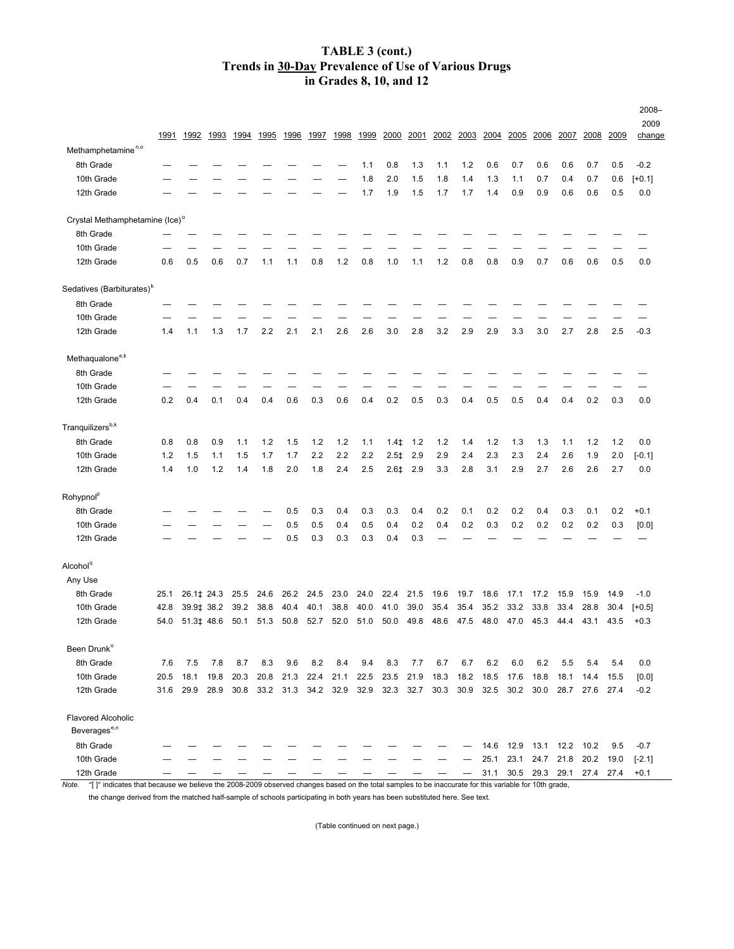## **Trends in 30-Day Prevalence of Use of Various Drugs in Grades 8, 10, and 12 TABLE 3 (cont.)**

|                                       |      |            |      |      |                          |           |      |           |      |                     |      |      |      |      |              |           |                          |           |              | 2008-          |
|---------------------------------------|------|------------|------|------|--------------------------|-----------|------|-----------|------|---------------------|------|------|------|------|--------------|-----------|--------------------------|-----------|--------------|----------------|
|                                       | 1991 | 1992       | 1993 | 1994 | 1995                     | 1996      | 1997 | 1998      | 1999 | 2000                | 2001 | 2002 | 2003 | 2004 | <u> 2005</u> | 2006      | 2007                     | 2008      | <u> 2009</u> | 2009<br>change |
| Methamphetamine <sup>n,o</sup>        |      |            |      |      |                          |           |      |           |      |                     |      |      |      |      |              |           |                          |           |              |                |
| 8th Grade                             |      |            |      |      |                          |           |      |           | 1.1  | 0.8                 | 1.3  | 1.1  | 1.2  | 0.6  | 0.7          | 0.6       | 0.6                      | 0.7       | 0.5          | $-0.2$         |
| 10th Grade                            |      |            |      |      |                          |           |      |           | 1.8  | 2.0                 | 1.5  | 1.8  | 1.4  | 1.3  | 1.1          | 0.7       | 0.4                      | 0.7       | 0.6          | $[+0.1]$       |
| 12th Grade                            |      |            |      |      |                          |           |      |           | 1.7  | 1.9                 | 1.5  | 1.7  | 1.7  | 1.4  | 0.9          | 0.9       | 0.6                      | 0.6       | 0.5          | 0.0            |
| Crystal Methamphetamine (Ice)°        |      |            |      |      |                          |           |      |           |      |                     |      |      |      |      |              |           |                          |           |              |                |
| 8th Grade                             |      |            |      |      |                          |           |      |           |      |                     |      |      |      |      |              |           |                          |           |              |                |
| 10th Grade                            |      |            |      |      |                          |           |      |           |      |                     |      |      |      |      |              |           |                          |           |              |                |
| 12th Grade                            | 0.6  | 0.5        | 0.6  | 0.7  | 1.1                      | 1.1       | 0.8  | 1.2       | 0.8  | 1.0                 | 1.1  | 1.2  | 0.8  | 0.8  | 0.9          | 0.7       | 0.6                      | 0.6       | 0.5          | 0.0            |
| Sedatives (Barbiturates) <sup>k</sup> |      |            |      |      |                          |           |      |           |      |                     |      |      |      |      |              |           |                          |           |              |                |
| 8th Grade                             |      |            |      |      |                          |           |      |           |      |                     |      |      |      |      |              |           |                          |           |              |                |
| 10th Grade                            |      |            |      |      |                          |           |      |           |      |                     |      |      |      |      |              |           |                          |           |              |                |
| 12th Grade                            | 1.4  | 1.1        | 1.3  | 1.7  | 2.2                      | 2.1       | 2.1  | 2.6       | 2.6  | 3.0                 | 2.8  | 3.2  | 2.9  | 2.9  | 3.3          | 3.0       | 2.7                      | 2.8       | 2.5          | $-0.3$         |
| Methaqualone <sup>e,k</sup>           |      |            |      |      |                          |           |      |           |      |                     |      |      |      |      |              |           |                          |           |              |                |
| 8th Grade                             |      |            |      |      |                          |           |      |           |      |                     |      |      |      |      |              |           |                          |           |              |                |
| 10th Grade                            |      |            |      |      |                          |           |      |           |      |                     |      |      |      |      |              |           |                          |           |              |                |
| 12th Grade                            | 0.2  | 0.4        | 0.1  | 0.4  | 0.4                      | 0.6       | 0.3  | 0.6       | 0.4  | 0.2                 | 0.5  | 0.3  | 0.4  | 0.5  | 0.5          | 0.4       | 0.4                      | 0.2       | 0.3          | 0.0            |
| Tranquilizers <sup>b,k</sup>          |      |            |      |      |                          |           |      |           |      |                     |      |      |      |      |              |           |                          |           |              |                |
| 8th Grade                             | 0.8  | 0.8        | 0.9  | 1.1  | 1.2                      | 1.5       | 1.2  | 1.2       | 1.1  | $1.4+$              | 1.2  | 1.2  | 1.4  | 1.2  | 1.3          | 1.3       | 1.1                      | 1.2       | 1.2          | 0.0            |
| 10th Grade                            | 1.2  | 1.5        | 1.1  | 1.5  | 1.7                      | 1.7       | 2.2  | 2.2       | 2.2  | $2.5+$              | 2.9  | 2.9  | 2.4  | 2.3  | 2.3          | 2.4       | 2.6                      | 1.9       | 2.0          | $[-0.1]$       |
| 12th Grade                            | 1.4  | 1.0        | 1.2  | 1.4  | 1.8                      | 2.0       | 1.8  | 2.4       | 2.5  | $2.6+$              | 2.9  | 3.3  | 2.8  | 3.1  | 2.9          | 2.7       | 2.6                      | 2.6       | 2.7          | 0.0            |
| Rohypnol <sup>p</sup>                 |      |            |      |      |                          |           |      |           |      |                     |      |      |      |      |              |           |                          |           |              |                |
| 8th Grade                             |      |            |      |      |                          | 0.5       | 0.3  | 0.4       | 0.3  | 0.3                 | 0.4  | 0.2  | 0.1  | 0.2  | 0.2          | 0.4       | 0.3                      | 0.1       | 0.2          | $+0.1$         |
| 10th Grade                            |      |            |      |      |                          | 0.5       | 0.5  | 0.4       | 0.5  | 0.4                 | 0.2  | 0.4  | 0.2  | 0.3  | 0.2          | 0.2       | 0.2                      | 0.2       | 0.3          | [0.0]          |
| 12th Grade                            |      |            |      |      |                          | 0.5       | 0.3  | 0.3       | 0.3  | 0.4                 | 0.3  |      |      |      |              |           |                          |           |              |                |
| Alcohol <sup>q</sup>                  |      |            |      |      |                          |           |      |           |      |                     |      |      |      |      |              |           |                          |           |              |                |
| Any Use                               |      |            |      |      |                          |           |      |           |      |                     |      |      |      |      |              |           |                          |           |              |                |
| 8th Grade                             | 25.1 | 26.1‡ 24.3 |      | 25.5 | 24.6                     | 26.2      | 24.5 | 23.0      | 24.0 | 22.4                | 21.5 | 19.6 | 19.7 | 18.6 | 17.1         | 17.2      | 15.9                     | 15.9      | 14.9         | $-1.0$         |
| 10th Grade                            | 42.8 | 39.9‡ 38.2 |      | 39.2 | 38.8                     | 40.4      | 40.1 | 38.8      | 40.0 | 41.0                | 39.0 | 35.4 | 35.4 | 35.2 | 33.2         | 33.8      | 33.4                     | 28.8      | 30.4         | $[+0.5]$       |
| 12th Grade                            | 54.0 | 51.3‡ 48.6 |      | 50.1 | 51.3                     | 50.8      | 52.7 | 52.0      | 51.0 | 50.0                | 49.8 | 48.6 | 47.5 | 48.0 | 47.0         | 45.3      | 44.4                     | 43.1      | 43.5         | $+0.3$         |
| Been Drunk <sup>o</sup>               |      |            |      |      |                          |           |      |           |      |                     |      |      |      |      |              |           |                          |           |              |                |
| 8th Grade                             | 7.6  | 7.5        | 7.8  | 8.7  | 8.3                      | 9.6       | 8.2  | 8.4       | 9.4  | 8.3                 | 7.7  | 6.7  | 6.7  | 6.2  | 6.0          | 6.2       | 5.5                      | 5.4       | 5.4          | 0.0            |
| 10th Grade                            | 20.5 | 18.1       | 19.8 | 20.3 | 20.8                     | 21.3 22.4 |      | 21.1 22.5 |      | 23.5                | 21.9 | 18.3 | 18.2 | 18.5 | 17.6         | 18.8      | 18.1 14.4                |           | 15.5         | [0.0]          |
| 12th Grade                            | 31.6 | 29.9       | 28.9 |      | 30.8 33.2 31.3 34.2 32.9 |           |      |           |      | 32.9 32.3 32.7 30.3 |      |      | 30.9 | 32.5 | 30.2         |           | 30.0 28.7 27.6           |           | 27.4         | $-0.2$         |
| <b>Flavored Alcoholic</b>             |      |            |      |      |                          |           |      |           |      |                     |      |      |      |      |              |           |                          |           |              |                |
| Beverages <sup>e,n</sup>              |      |            |      |      |                          |           |      |           |      |                     |      |      |      |      |              |           |                          |           |              |                |
| 8th Grade                             |      |            |      |      |                          |           |      |           |      |                     |      |      |      | 14.6 | 12.9         | 13.1 12.2 |                          | 10.2      | 9.5          | $-0.7$         |
| 10th Grade                            |      |            |      |      |                          |           |      |           |      |                     |      |      |      | 25.1 | 23.1         |           | 24.7 21.8                | 20.2 19.0 |              | $[-2.1]$       |
| 12th Grade                            |      |            |      |      |                          |           |      |           |      |                     |      |      |      | 31.1 |              |           | 30.5 29.3 29.1 27.4 27.4 |           |              | $+0.1$         |

*Note.* "[ ]" indicates that because we believe the 2008–2009 observed changes based on the total samples to be inaccurate for this variable for 10th grade, the change derived from the matched half-sample of schools participating in both years has been substituted here. See text.

(Table continued on next page.)